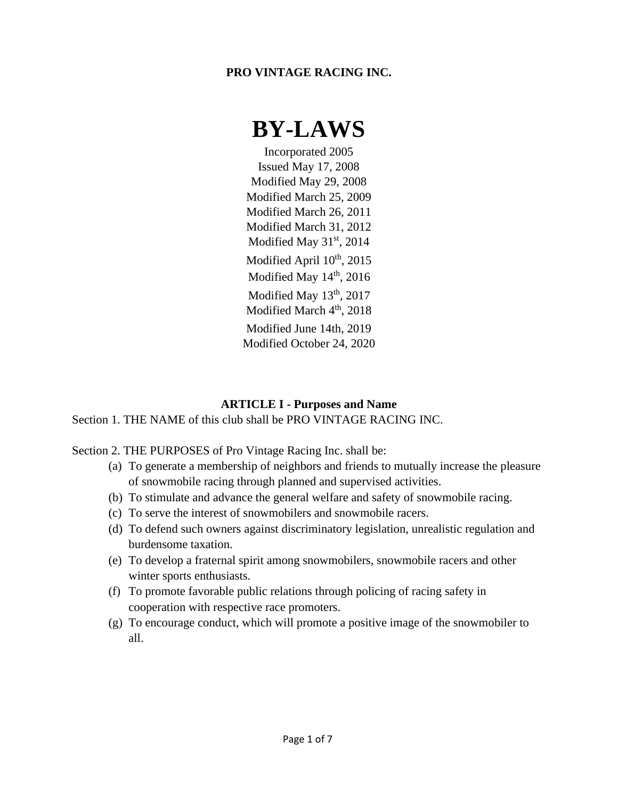# **PRO VINTAGE RACING INC.**

# **BY-LAWS**

Incorporated 2005 Issued May 17, 2008 Modified May 29, 2008 Modified March 25, 2009 Modified March 26, 2011 Modified March 31, 2012 Modified May  $31<sup>st</sup>$ , 2014 Modified April  $10^{th}$ , 2015 Modified May  $14<sup>th</sup>$ , 2016 Modified May 13<sup>th</sup>, 2017 Modified March 4<sup>th</sup>, 2018 Modified June 14th, 2019 Modified October 24, 2020

#### **ARTICLE I - Purposes and Name**

Section 1. THE NAME of this club shall be PRO VINTAGE RACING INC.

Section 2. THE PURPOSES of Pro Vintage Racing Inc. shall be:

- (a) To generate a membership of neighbors and friends to mutually increase the pleasure of snowmobile racing through planned and supervised activities.
- (b) To stimulate and advance the general welfare and safety of snowmobile racing.
- (c) To serve the interest of snowmobilers and snowmobile racers.
- (d) To defend such owners against discriminatory legislation, unrealistic regulation and burdensome taxation.
- (e) To develop a fraternal spirit among snowmobilers, snowmobile racers and other winter sports enthusiasts.
- (f) To promote favorable public relations through policing of racing safety in cooperation with respective race promoters.
- (g) To encourage conduct, which will promote a positive image of the snowmobiler to all.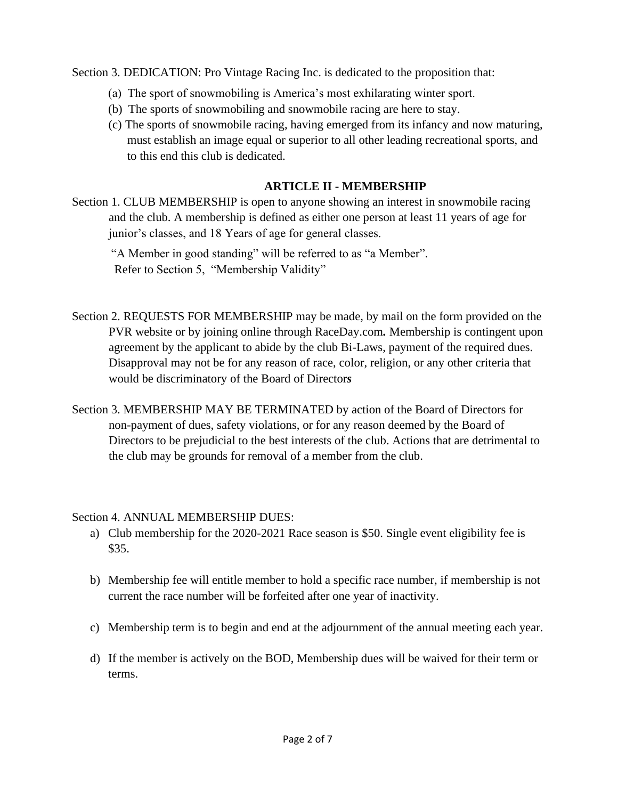Section 3. DEDICATION: Pro Vintage Racing Inc. is dedicated to the proposition that:

- (a) The sport of snowmobiling is America's most exhilarating winter sport.
- (b) The sports of snowmobiling and snowmobile racing are here to stay.
- (c) The sports of snowmobile racing, having emerged from its infancy and now maturing, must establish an image equal or superior to all other leading recreational sports, and to this end this club is dedicated.

# **ARTICLE II - MEMBERSHIP**

Section 1. CLUB MEMBERSHIP is open to anyone showing an interest in snowmobile racing and the club. A membership is defined as either one person at least 11 years of age for junior's classes, and 18 Years of age for general classes.

 "A Member in good standing" will be referred to as "a Member". Refer to Section 5, "Membership Validity"

- Section 2. REQUESTS FOR MEMBERSHIP may be made*,* by mail on the form provided on the PVR website or by joining online through RaceDay.com*.* Membership is contingent upon agreement by the applicant to abide by the club Bi-Laws, payment of the required dues. Disapproval may not be for any reason of race, color, religion, or any other criteria that would be discriminatory of the Board of Director*s*
- Section 3. MEMBERSHIP MAY BE TERMINATED by action of the Board of Directors for non-payment of dues, safety violations, or for any reason deemed by the Board of Directors to be prejudicial to the best interests of the club. Actions that are detrimental to the club may be grounds for removal of a member from the club.

#### Section 4. ANNUAL MEMBERSHIP DUES:

- a) Club membership for the 2020-2021 Race season is \$50. Single event eligibility fee is \$35.
- b) Membership fee will entitle member to hold a specific race number, if membership is not current the race number will be forfeited after one year of inactivity.
- c) Membership term is to begin and end at the adjournment of the annual meeting each year.
- d) If the member is actively on the BOD, Membership dues will be waived for their term or terms.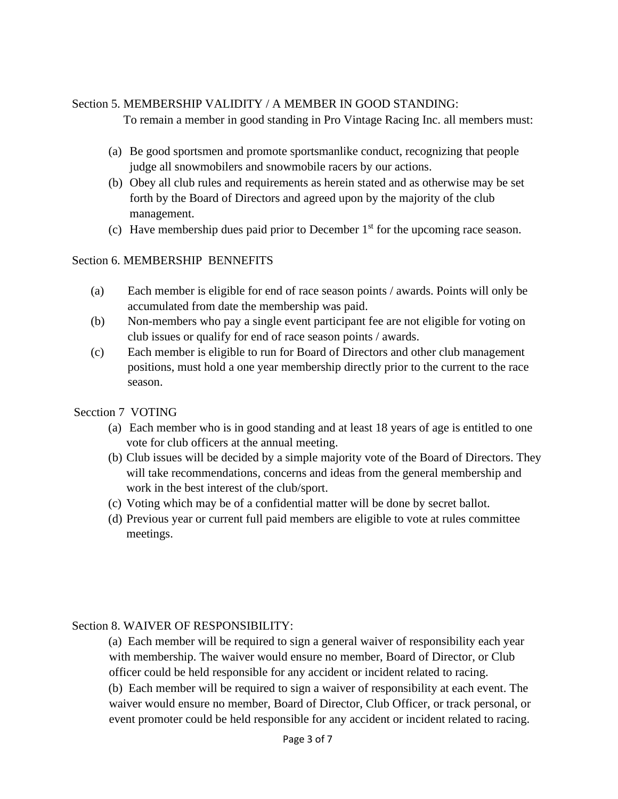#### Section 5. MEMBERSHIP VALIDITY / A MEMBER IN GOOD STANDING:

To remain a member in good standing in Pro Vintage Racing Inc. all members must:

- (a) Be good sportsmen and promote sportsmanlike conduct, recognizing that people judge all snowmobilers and snowmobile racers by our actions.
- (b) Obey all club rules and requirements as herein stated and as otherwise may be set forth by the Board of Directors and agreed upon by the majority of the club management.
- (c) Have membership dues paid prior to December  $1<sup>st</sup>$  for the upcoming race season.

#### Section 6. MEMBERSHIP BENNEFITS

- (a) Each member is eligible for end of race season points / awards. Points will only be accumulated from date the membership was paid.
- (b) Non-members who pay a single event participant fee are not eligible for voting on club issues or qualify for end of race season points / awards.
- (c) Each member is eligible to run for Board of Directors and other club management positions, must hold a one year membership directly prior to the current to the race season.
- Secction 7 VOTING
	- (a) Each member who is in good standing and at least 18 years of age is entitled to one vote for club officers at the annual meeting.
	- (b) Club issues will be decided by a simple majority vote of the Board of Directors. They will take recommendations, concerns and ideas from the general membership and work in the best interest of the club/sport.
	- (c) Voting which may be of a confidential matter will be done by secret ballot.
	- (d) Previous year or current full paid members are eligible to vote at rules committee meetings.

#### Section 8. WAIVER OF RESPONSIBILITY:

(a) Each member will be required to sign a general waiver of responsibility each year with membership. The waiver would ensure no member, Board of Director, or Club officer could be held responsible for any accident or incident related to racing.

(b) Each member will be required to sign a waiver of responsibility at each event. The waiver would ensure no member, Board of Director, Club Officer, or track personal, or event promoter could be held responsible for any accident or incident related to racing.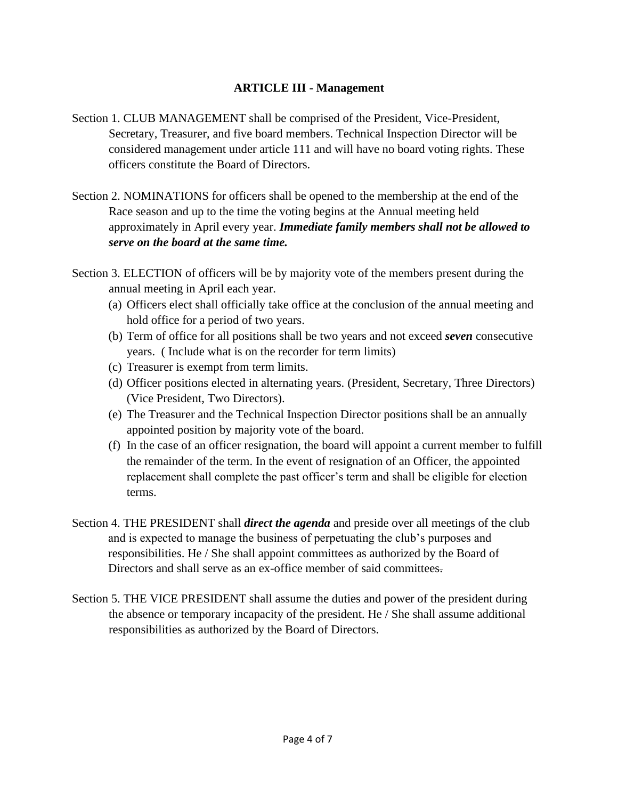#### **ARTICLE III - Management**

- Section 1. CLUB MANAGEMENT shall be comprised of the President, Vice-President, Secretary, Treasurer, and five board members. Technical Inspection Director will be considered management under article 111 and will have no board voting rights. These officers constitute the Board of Directors.
- Section 2. NOMINATIONS for officers shall be opened to the membership at the end of the Race season and up to the time the voting begins at the Annual meeting held approximately in April every year. *Immediate family members shall not be allowed to serve on the board at the same time.*
- Section 3. ELECTION of officers will be by majority vote of the members present during the annual meeting in April each year.
	- (a) Officers elect shall officially take office at the conclusion of the annual meeting and hold office for a period of two years.
	- (b) Term of office for all positions shall be two years and not exceed *seven* consecutive years. ( Include what is on the recorder for term limits)
	- (c) Treasurer is exempt from term limits.
	- (d) Officer positions elected in alternating years. (President, Secretary, Three Directors) (Vice President, Two Directors).
	- (e) The Treasurer and the Technical Inspection Director positions shall be an annually appointed position by majority vote of the board.
	- (f) In the case of an officer resignation, the board will appoint a current member to fulfill the remainder of the term. In the event of resignation of an Officer, the appointed replacement shall complete the past officer's term and shall be eligible for election terms.
- Section 4. THE PRESIDENT shall *direct the agenda* and preside over all meetings of the club and is expected to manage the business of perpetuating the club's purposes and responsibilities. He / She shall appoint committees as authorized by the Board of Directors and shall serve as an ex-office member of said committees.
- Section 5. THE VICE PRESIDENT shall assume the duties and power of the president during the absence or temporary incapacity of the president. He / She shall assume additional responsibilities as authorized by the Board of Directors.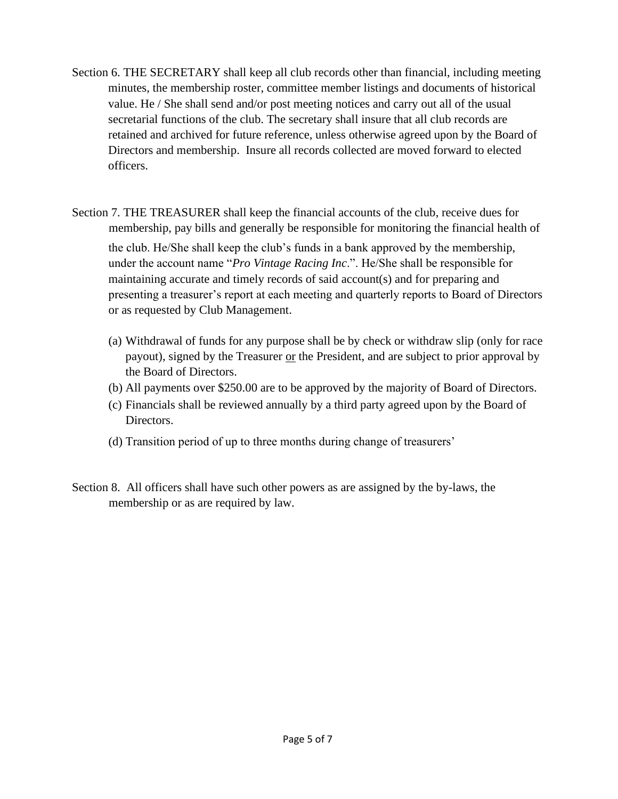- Section 6. THE SECRETARY shall keep all club records other than financial, including meeting minutes, the membership roster, committee member listings and documents of historical value. He / She shall send and/or post meeting notices and carry out all of the usual secretarial functions of the club. The secretary shall insure that all club records are retained and archived for future reference, unless otherwise agreed upon by the Board of Directors and membership. Insure all records collected are moved forward to elected officers.
- Section 7. THE TREASURER shall keep the financial accounts of the club, receive dues for membership, pay bills and generally be responsible for monitoring the financial health of the club. He/She shall keep the club's funds in a bank approved by the membership, under the account name "*Pro Vintage Racing Inc*.". He/She shall be responsible for maintaining accurate and timely records of said account(s) and for preparing and presenting a treasurer's report at each meeting and quarterly reports to Board of Directors or as requested by Club Management.
	- (a) Withdrawal of funds for any purpose shall be by check or withdraw slip (only for race payout), signed by the Treasurer or the President, and are subject to prior approval by the Board of Directors.
	- (b) All payments over \$250.00 are to be approved by the majority of Board of Directors.
	- (c) Financials shall be reviewed annually by a third party agreed upon by the Board of Directors.
	- (d) Transition period of up to three months during change of treasurers'
- Section 8. All officers shall have such other powers as are assigned by the by-laws, the membership or as are required by law.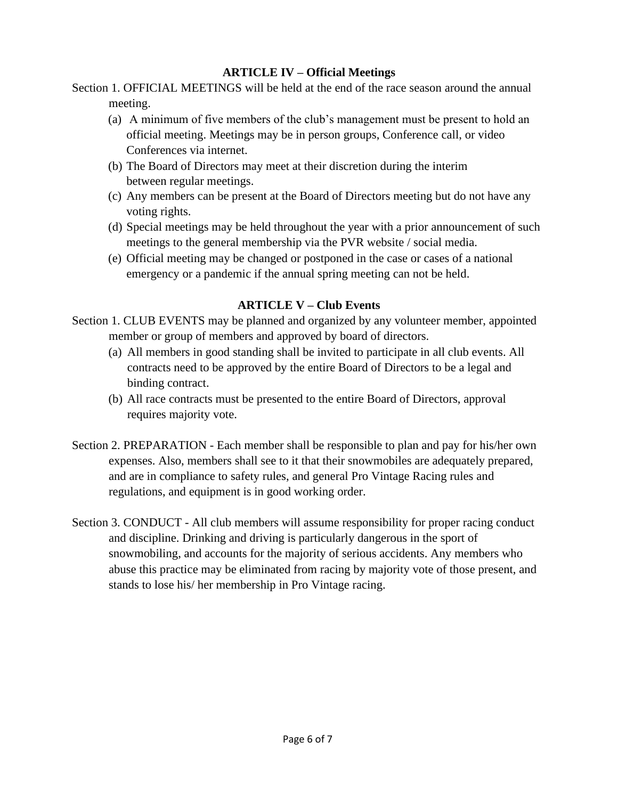# **ARTICLE IV – Official Meetings**

Section 1. OFFICIAL MEETINGS will be held at the end of the race season around the annual meeting.

- (a) A minimum of five members of the club's management must be present to hold an official meeting. Meetings may be in person groups, Conference call, or video Conferences via internet.
- (b) The Board of Directors may meet at their discretion during the interim between regular meetings.
- (c) Any members can be present at the Board of Directors meeting but do not have any voting rights.
- (d) Special meetings may be held throughout the year with a prior announcement of such meetings to the general membership via the PVR website / social media.
- (e) Official meeting may be changed or postponed in the case or cases of a national emergency or a pandemic if the annual spring meeting can not be held.

# **ARTICLE V – Club Events**

- Section 1. CLUB EVENTS may be planned and organized by any volunteer member, appointed member or group of members and approved by board of directors.
	- (a) All members in good standing shall be invited to participate in all club events. All contracts need to be approved by the entire Board of Directors to be a legal and binding contract.
	- (b) All race contracts must be presented to the entire Board of Directors, approval requires majority vote.
- Section 2. PREPARATION Each member shall be responsible to plan and pay for his/her own expenses. Also, members shall see to it that their snowmobiles are adequately prepared, and are in compliance to safety rules, and general Pro Vintage Racing rules and regulations, and equipment is in good working order.
- Section 3. CONDUCT All club members will assume responsibility for proper racing conduct and discipline. Drinking and driving is particularly dangerous in the sport of snowmobiling, and accounts for the majority of serious accidents. Any members who abuse this practice may be eliminated from racing by majority vote of those present, and stands to lose his/ her membership in Pro Vintage racing.